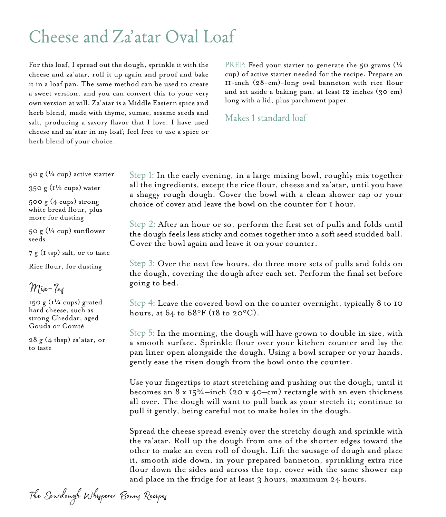## Cheese and Za'atar Oval Loaf

For this loaf, I spread out the dough, sprinkle it with the cheese and za'atar, roll it up again and proof and bake it in a loaf pan. The same method can be used to create a sweet version, and you can convert this to your very own version at will. Za'atar is a Middle Eastern spice and herb blend, made with thyme, sumac, sesame seeds and salt, producing a savory flavor that I love. I have used cheese and za'atar in my loaf; feel free to use a spice or herb blend of your choice.

PREP: Feed your starter to generate the 50 grams  $\frac{1}{4}$ cup) of active starter needed for the recipe. Prepare an 11-inch (28-cm)-long oval banneton with rice flour and set aside a baking pan, at least 12 inches (30 cm) long with a lid, plus parchment paper.

Makes 1 standard loaf

50 g  $(\frac{1}{4}$  cup) active starter

350 g  $(1\frac{1}{2}$  cups) water

 $500 g (4 cups) strong$ white bread flour, plus more for dusting

50 g  $(\frac{1}{4}$  cup) sunflower seeds

7 g (1 tsp) salt, or to taste

Rice flour, for dusting

Mix-Ins

150 g  $(1/4 \text{ cups})$  grated hard cheese, such as strong Cheddar, aged Gouda or Comté

28 g (4 tbsp) za'atar, or to taste

Step 1: In the early evening, in a large mixing bowl, roughly mix together all the ingredients, except the rice flour, cheese and za'atar, until you have a shaggy rough dough. Cover the bowl with a clean shower cap or your choice of cover and leave the bowl on the counter for 1 hour.

Step 2: After an hour or so, perform the first set of pulls and folds until the dough feels less sticky and comes together into a soft seed studded ball. Cover the bowl again and leave it on your counter.

Step 3: Over the next few hours, do three more sets of pulls and folds on the dough, covering the dough after each set. Perform the final set before going to bed.

Step 4: Leave the covered bowl on the counter overnight, typically 8 to 10 hours, at  $64$  to  $68^{\circ}$ F (18 to  $20^{\circ}$ C).

Step 5: In the morning, the dough will have grown to double in size, with a smooth surface. Sprinkle flour over your kitchen counter and lay the pan liner open alongside the dough. Using a bowl scraper or your hands, gently ease the risen dough from the bowl onto the counter.

Use your fingertips to start stretching and pushing out the dough, until it becomes an  $8 \times 15^{\frac{5}{4}}$ —inch (20 x 40—cm) rectangle with an even thickness all over. The dough will want to pull back as your stretch it; continue to pull it gently, being careful not to make holes in the dough.

Spread the cheese spread evenly over the stretchy dough and sprinkle with the za'atar. Roll up the dough from one of the shorter edges toward the other to make an even roll of dough. Lift the sausage of dough and place it, smooth side down, in your prepared banneton, sprinkling extra rice flour down the sides and across the top, cover with the same shower cap and place in the fridge for at least 3 hours, maximum 24 hours.

The Sourdough Whisperer Bonus Recipes